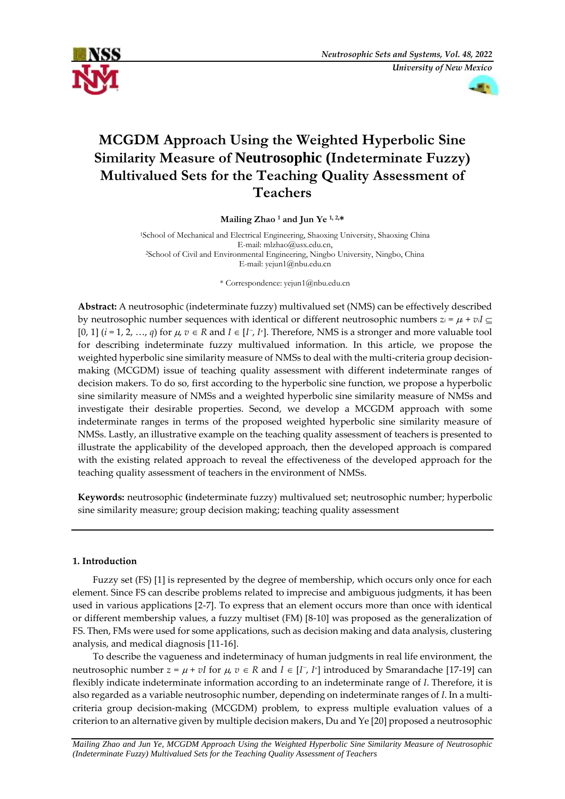



# **MCGDM Approach Using the Weighted Hyperbolic Sine Similarity Measure of Neutrosophic (Indeterminate Fuzzy) Multivalued Sets for the Teaching Quality Assessment of Teachers**

## **Mailing Zhao <sup>1</sup> and Jun Ye 1, 2,\***

<sup>1</sup>School of Mechanical and Electrical Engineering, Shaoxing University, Shaoxing China E-mail: mlzhao@usx.edu.cn, <sup>2</sup>School of Civil and Environmental Engineering, Ningbo University, Ningbo, China E-mail: yejun1@nbu.edu.cn

\* Correspondence: yejun1@nbu.edu.cn

**Abstract:** A neutrosophic (indeterminate fuzzy) multivalued set (NMS) can be effectively described by neutrosophic number sequences with identical or different neutrosophic numbers  $z_i = \mu + v_i I \subseteq$ [0, 1]  $(i = 1, 2, ..., q)$  for  $\mu$ ,  $v \in R$  and  $I \in [I^-, I^+]$ . Therefore, NMS is a stronger and more valuable tool for describing indeterminate fuzzy multivalued information. In this article, we propose the weighted hyperbolic sine similarity measure of NMSs to deal with the multi-criteria group decisionmaking (MCGDM) issue of teaching quality assessment with different indeterminate ranges of decision makers. To do so, first according to the hyperbolic sine function, we propose a hyperbolic sine similarity measure of NMSs and a weighted hyperbolic sine similarity measure of NMSs and investigate their desirable properties. Second, we develop a MCGDM approach with some indeterminate ranges in terms of the proposed weighted hyperbolic sine similarity measure of NMSs. Lastly, an illustrative example on the teaching quality assessment of teachers is presented to illustrate the applicability of the developed approach, then the developed approach is compared with the existing related approach to reveal the effectiveness of the developed approach for the teaching quality assessment of teachers in the environment of NMSs.

**Keywords:** neutrosophic **(**indeterminate fuzzy) multivalued set; neutrosophic number; hyperbolic sine similarity measure; group decision making; teaching quality assessment

# **1. Introduction**

Fuzzy set (FS) [1] is represented by the degree of membership, which occurs only once for each element. Since FS can describe problems related to imprecise and ambiguous judgments, it has been used in various applications [2-7]. To express that an element occurs more than once with identical or different membership values, a fuzzy multiset (FM) [8-10] was proposed as the generalization of FS. Then, FMs were used for some applications, such as decision making and data analysis, clustering analysis, and medical diagnosis [11-16].

To describe the vagueness and indeterminacy of human judgments in real life environment, the neutrosophic number  $z = \mu + vI$  for  $\mu$ ,  $v \in R$  and  $I \in [I^-, I^+]$  introduced by Smarandache [17-19] can flexibly indicate indeterminate information according to an indeterminate range of *I*. Therefore, it is also regarded as a variable neutrosophic number, depending on indeterminate ranges of *I*. In a multicriteria group decision-making (MCGDM) problem, to express multiple evaluation values of a criterion to an alternative given by multiple decision makers, Du and Ye [20] proposed a neutrosophic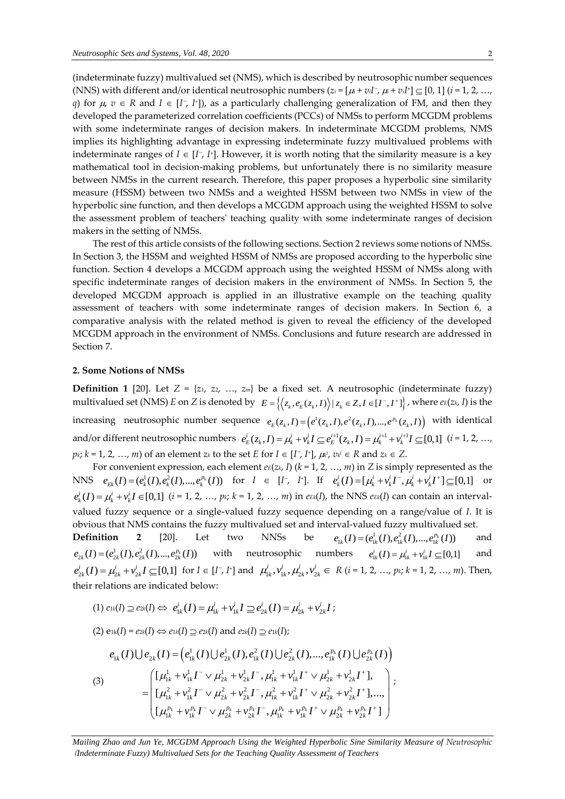(indeterminate fuzzy) multivalued set (NMS), which is described by neutrosophic number sequences (NNS) with different and/or identical neutrosophic numbers  $(z_i = [\mu_i + v_i]$ <sup>-</sup>,  $\mu_i + v_i$ <sup>*I*</sup><sup>-</sup>]  $\subseteq$  [0, 1] (*i* = 1, 2, ..., *q*) for  $\mu$ ,  $v \in R$  and  $I \in [I^-, I^+]$ , as a particularly challenging generalization of FM, and then they developed the parameterized correlation coefficients (PCCs) of NMSs to perform MCGDM problems with some indeterminate ranges of decision makers. In indeterminate MCGDM problems, NMS implies its highlighting advantage in expressing indeterminate fuzzy multivalued problems with indeterminate ranges of  $I \in [I^-, I^+]$ . However, it is worth noting that the similarity measure is a key mathematical tool in decision-making problems, but unfortunately there is no similarity measure between NMSs in the current research. Therefore, this paper proposes a hyperbolic sine similarity measure (HSSM) between two NMSs and a weighted HSSM between two NMSs in view of the hyperbolic sine function, and then develops a MCGDM approach using the weighted HSSM to solve the assessment problem of teachers' teaching quality with some indeterminate ranges of decision makers in the setting of NMSs.

The rest of this article consists of the following sections. Section 2 reviews some notions of NMSs. In Section 3, the HSSM and weighted HSSM of NMSs are proposed according to the hyperbolic sine function. Section 4 develops a MCGDM approach using the weighted HSSM of NMSs along with specific indeterminate ranges of decision makers in the environment of NMSs. In Section 5, the developed MCGDM approach is applied in an illustrative example on the teaching quality assessment of teachers with some indeterminate ranges of decision makers. In Section 6, a comparative analysis with the related method is given to reveal the efficiency of the developed MCGDM approach in the environment of NMSs. Conclusions and future research are addressed in Section 7.

## **2. Some Notions of NMSs**

**Definition 1** [20]. Let  $Z = \{z_1, z_2, ..., z_m\}$  be a fixed set. A neutrosophic (indeterminate fuzzy) **Definition 1** [20]. Let  $Z = \{z_1, z_2, ..., z_m\}$  be a fixed set. A neutrosophic (indeterminate fuzzy) multivalued set (NMS)  $E$  on  $Z$  is denoted by  $E = \{(z_k, e_E(z_k, I)) | z_k \in Z, I \in [I^-, I^+] \}$ , where  $e_E(z_k, I)$  is the increasing neutrosophic number sequence  $e_E(z_k, I) = (e^1(z_k, I), e^2(z_k, I), ..., e^{p_k}(z_k, I))$  with identical<br>and/or different neutrosophic numbers  $e^i_E(z_k, I) = \mu^i_k + v^i_k I \subseteq e^{i+1}_E(z_k, I) = \mu^{i+1}_k + v^{i+1}_k I \subseteq [0,1]$  (*i* = 1, 2, ..., and/or different neutrosophic numbers  $e_{r}^{L}(z_{k}, I) = \mu_{k}^{L} + v_{k}^{L} I \subseteq e_{r}^{L+1}(z_{k}, I) = \mu_{k}^{L+1} + v_{k}^{L+1} I \subseteq [0,1]$  (*i* = 1, 2, ...,  $p_k$ ;  $k = 1, 2, ..., m$ ) of an element  $z_k$  to the set  $E$  for  $I \in [I^-, I^+]$ ,  $\mu_k$ <sup>;</sup>,  $v_k$ <sup>i</sup>  $\in$  R and  $z_k \in Z$ .

For convenient expression, each element  $eE(z, I)$  ( $k = 1, 2, ..., m$ ) in *Z* is simply represented as the For convenient expression, each element  $ee(z_k, I)$  ( $k = 1, 2, ..., m$ ) in Z is simply represented as the NNS  $e_{Ek}(I) = (e_k^1(I), e_k^2(I), ..., e_k^{p_k}(I))$  for  $I \in [I^-, I^+]$ . If  $e_k^i(I) = [\mu_k^i + v_k^i I^-, \mu_k^i + v_k^i I^+] \subseteq [0,1]$  or  $e_k^i(I) = \mu_k^i + v_k^i I \in [0,1]$   $(i = 1, 2, ..., p_k; k = 1, 2, ..., m)$  in  $e_{Ek}(I)$ , the NNS  $e_{Ek}(I)$  can contain an intervalvalued fuzzy sequence or a single-valued fuzzy sequence depending on a range/value of *I*. It is obvious that NMS contains the fuzzy multivalued set and interval-valued fuzzy multivalued set.  $e_{1k}(I) = (e_{1k}^1(I), e_{1k}^2(I), ..., e_{1k}^{p_k}(I))$ 

**Definition 2** [20]. Let two NNSs be and  $e_{2k}(I) = (e_{2k}^1(I), e_{2k}^2(I),...,e_{2k}^{p_k}(I))$  with neutrosophic numbers  $e_{1k}^i(I) = \mu_{1k}^i + v_{1k}^i I \subseteq [0,1]$ and  $e_{2k}^i(I) = \mu_{2k}^i + v_{2k}^i I \subseteq [0,1]$  for  $I \in [I^-, I^+]$  and  $\mu_{1k}^i, \mu_{2k}^i, \mu_{2k}^i, \nu_{2k}^i \in R$  (*i* = 1, 2, ..., *pk*; *k* = 1, 2, ..., *m*). Then, their relations are indicated below:

(1) 
$$
e_{1k}(I) \supseteq e_{2k}(I) \Leftrightarrow e_{1k}^i(I) = \mu_{1k}^i + v_{1k}^i I \supseteq e_{2k}^i(I) = \mu_{2k}^i + v_{2k}^i I;
$$

(2) 
$$
e_{1k}(I) = e_{2k}(I) \Leftrightarrow e_{1k}(I) \supseteq e_{2k}(I)
$$
 and  $e_{2k}(I) \supseteq e_{1k}(I)$ ;

$$
(2) e_{1k}(I) = e_{2k}(I) \Leftrightarrow e_{1k}(I) \supseteq e_{2k}(I) \text{ and } e_{2k}(I) \supseteq e_{1k}(I);
$$
\n
$$
e_{1k}(I) \bigcup e_{2k}(I) = \left(e_{1k}^1(I) \bigcup e_{2k}^1(I), e_{1k}^2(I) \bigcup e_{2k}^2(I), ..., e_{1k}^{p_k}(I) \bigcup e_{2k}^{p_k}(I)\right)
$$
\n
$$
(3) \qquad = \begin{pmatrix} \left[\mu_{1k}^1 + \nu_{1k}^1 I^- \vee \mu_{2k}^1 + \nu_{2k}^1 I^-, \mu_{1k}^1 + \nu_{1k}^1 I^+ \vee \mu_{2k}^1 + \nu_{2k}^1 I^+ \right], \\ \left[\mu_{1k}^2 + \nu_{1k}^2 I^- \vee \mu_{2k}^2 + \nu_{2k}^2 I^-, \mu_{1k}^2 + \nu_{1k}^2 I^+ \vee \mu_{2k}^2 + \nu_{2k}^2 I^+ \right], ..., \\ \left[\mu_{1k}^{p_k} + \nu_{1k}^{p_k} I^- \vee \mu_{2k}^{p_k} + \nu_{2k}^{p_k} I^-, \mu_{1k}^{p_k} + \nu_{1k}^{p_k} I^+ \vee \mu_{2k}^{p_k} + \nu_{2k}^{p_k} I^+ \right] \end{pmatrix};
$$

*Mailing Zhao and Jun Ye*, *MCGDM Approach Using the Weighted Hyperbolic Sine Similarity Measure of Neutrosophic*  (*Indeterminate Fuzzy) Multivalued Sets for the Teaching Quality Assessment of Teachers*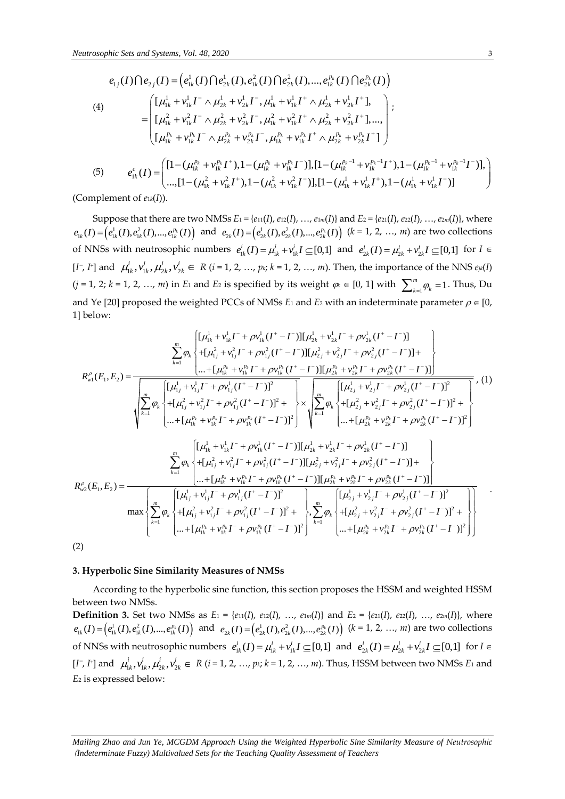$$
\begin{split}\n\text{cosophic Sets and Systems, Vol. 48, 2020} \\
e_{1j}(I) \bigcap e_{2j}(I) &= \left(e_{1k}^1(I) \bigcap e_{2k}^1(I), e_{1k}^2(I) \bigcap e_{2k}^2(I), ..., e_{1k}^{p_k}(I) \bigcap e_{2k}^{p_k}(I)\right) \\
(4) \qquad \qquad = \begin{cases}\n\left[L_{1k}^1 + v_{1k}^1 I^\top \wedge \mu_{2k}^1 + v_{2k}^1 I^\top, \mu_{1k}^1 + v_{1k}^1 I^\top \wedge \mu_{2k}^1 + v_{2k}^1 I^\top\right], \\
\left[L_{1k}^2 + v_{1k}^2 I^\top \wedge \mu_{2k}^2 + v_{2k}^2 I^\top, \mu_{1k}^2 + v_{1k}^2 I^\top \wedge \mu_{2k}^2 + v_{2k}^2 I^\top\right], ..., \\
\left[L_{1k}^{p_k} + v_{1k}^{p_k} I^\top \wedge \mu_{2k}^{p_k} + v_{2k}^{p_k} I^\top, \mu_{1k}^{p_k} + v_{1k}^{p_k} I^\top \wedge \mu_{2k}^{p_k} + v_{2k}^{p_k} I^\top\right]\n\end{cases}; \\
(5) \qquad e_{1k}^c(I) = \begin{pmatrix}\n\left[1 - (\mu_{1k}^{p_k} + v_{1k}^{p_k} I^\top), 1 - (\mu_{1k}^{p_k} + v_{1k}^{p_k} I^\top), 1 - (\mu_{1k}^{p_k - 1} + v_{1k}^{p_k - 1} I^\top), 1 - (\mu_{1k}^{p_k - 1} + v_{1k}^{p_k - 1} I^\top)\right], \\
\cdots, \left[1 - (\mu_{1k}^2 + v_{1k}^2 I^\top), 1 - (\mu_{1k}^2 + v_{1k}^2 I^\top), 1 - (\mu_{1k}^1 + v_{1k}^1 I^\top), 1 - (\mu_{1k}^1 + v_{1k}^1 I^\top)\right]\n\end{cases} \n\end{split}
$$

(Complement of *e*1*k*(*I*)).

Suppose that there are two NMSs  $E_1 = \{e_{11}(I), e_{12}(I), ..., e_{1m}(I)\}$  and  $E_2 = \{e_{21}(I), e_{22}(I), ..., e_{2m}(I)\}$ , where Suppose that there are two invisible  $e_{1k}(I) = (e_{1k}^1(I), e_{1k}^2(I), ..., e_{1k}^{p_k}(I))$  and  $e_{2k}(I) = (e_{2k}^1(I), e_{2k}^2(I), ..., e_{2k}^{p_k}(I))$  (k = 1, 2, ..., m) are two collections of NNSs with neutrosophic numbers  $e_{1k}^{i}(I) = \mu_{1k}^{i} + v_{1k}^{i} I \subseteq [0,1]$  and  $e_{2k}^{i}(I) = \mu_{2k}^{i} + v_{2k}^{i} I \subseteq [0,1]$  for  $I \in$  $[I^-, I^+]$  and  $\mu_{1k}^i, v_{1k}^i, \mu_{2k}^i, v_{2k}^i \in R$  (*i* = 1, 2, ..., *p*<sub>k</sub>; *k* = 1, 2, ..., *m*). Then, the importance of the NNS  $e_{jk}(I)$  $(j = 1, 2; k = 1, 2, ..., m)$  in *E*<sub>1</sub> and *E*<sub>2</sub> is specified by its weight  $\varphi_k \in [0, 1]$  with  $\sum_{k=1}^{m} \varphi_k = 1$  $\sum_{k=1}^{m} \varphi_k = 1$ . Thus, Du and Ye [20] proposed the weighted PCCs of NMSs  $E_1$  and  $E_2$  with an indeterminate parameter  $\rho \in [0, 1]$ 1] below:  $\frac{1}{16} + v_{1k}^1 I^- + \rho v_{1k}^1 (I^+ - I^-) [(\mu_{2k}^1 + v_{2k}^1 I^- + \rho v_{2k}^1$ find *L*<sub>2</sub> is specified by its weight  $\psi_k \in [0, 1]$  with  $\sum_{k=1}^k$ <br>
shed PCCs of NMSs *E*<sub>1</sub> and *E*<sub>2</sub> with an indeterminate  $[\mu_{1k}^1 + \nu_{1k}^1 I^+ + \rho \nu_{1k}^1 (I^+ - I^-)][\mu_{2k}^1 + \nu_{2k}^1 I^- + \rho \nu_{2k}^1 (I^+ - I^-)]$  $\int_{-}^{1} + \rho v_{1k}^{1}(I^{+} - I^{-}) [ \mu_{2k}^{1} + v_{2k}^{1} I^{-} + \rho v_{2k}^{1}(I^{+} - I^{-}) ]$ 

$$
V = 1, 2, k = 1, 2, ..., m)
$$
 If  $E1$  and  $E2$  is specified by its weight  $\phi k \in [0, 1]$  with  $\sum_{k=1}^{n} \phi_k = 1$ . Thus,  $Ud$  and  $Ye [20]$  proposed the weighted PCCs of NMSs  $E_1$  and  $E_2$  with an indeterminate parameter  $\rho \in [0, 1]$  below:  
\n1) below:  
\n
$$
\sum_{k=1}^{m} \phi_k \begin{cases}\n[\mu_{1k}^1 + \nu_{1k}^1 I^2 + \rho \nu_{1k}^1 (I^+ - I^-)][\mu_{2k}^1 + \nu_{2k}^1 I^+ + \rho \nu_{2k}^1 (I^+ - I^-)] \\
+ [\mu_{1k}^0 + \nu_{1k}^0 (I^+ - I^-)][\mu_{2k}^0 + \nu_{2k}^0 (I^+ - I^-)]\n\end{cases}
$$
\n
$$
R_{w1}^o(E_1, E_2) = \frac{\left[ [L_1^1 + \nu_{1k}^1 I^+ + \rho \nu_{1k}^1 (I^+ - I^-)][\mu_{2k}^0 + \nu_{2k}^0 (I^+ - I^-)]\right]}{ \left[ \mu_{1j}^1 + \nu_{1j}^1 I^+ + \rho \nu_{1j}^1 (I^+ - I^-)\right]^2} \begin{cases}\n\frac{\left[ L_1^1 + \nu_{1k}^1 I^+ + \rho \nu_{1k}^1 (I^+ - I^-)][\mu_{2k}^0 + \nu_{2k}^0 (I^+ - I^-)]\n\right]}{ \left[ L_2^1 + \nu_{2k}^1 I^+ + \rho \nu_{2k}^1 (I^+ - I^-)\right]^2}\n\end{cases}, (1)
$$
\n
$$
\sqrt{\sum_{k=1}^{m} \phi_k \begin{cases}\n[\mu_{1k}^1 + \nu_{1k}^1 I^+ + \rho \nu_{1k}^1 (I^+ - I^-)]^2 + \sqrt{\sum_{k=1}^{m} \phi_k \begin{cases}\n[\mu_{2k}^1 + \nu_{2k}^1 I^+ + \rho \nu_{2k}^1 (I^+ - I^-)]^2 + \sqrt{\sum_{k=1}^{m} \phi_k \end{cases}}\n\end{cases}
$$
\n $$ 

### **3. Hyperbolic Sine Similarity Measures of NMSs**

According to the hyperbolic sine function, this section proposes the HSSM and weighted HSSM between two NMSs.

**Definition 3.** Set two NMSs as  $E_1 = \{e_{11}(I), e_{12}(I), ..., e_{1m}(I)\}\$ and  $E_2 = \{e_{21}(I), e_{22}(I), ..., e_{2m}(I)\}\$ , where **Definition 5.** Set two NIVISS as  $E_1 = \{e_1(t), e_2(t), ..., e_m(t)\}$  and  $E_2 = \{e_2(t), e_2(t), ..., e_{2m}(t)\}$ , where  $e_{1k}(I) = \left(e_{1k}^1(I), e_{1k}^2(I), ..., e_{1k}^p(I)\right)$  and  $e_{2k}(I) = \left(e_{2k}^1(I), e_{2k}^2(I), ..., e_{2k}^p(I)\right)$   $(k = 1, 2, ..., m)$  are two collections of NNSs with neutrosophic numbers  $e_{1k}^i(I) = \mu_{1k}^i + v_{1k}^i I \subseteq [0,1]$  and  $e_{2k}^i(I) = \mu_{2k}^i + v_{2k}^i I \subseteq [0,1]$  for  $I \in$  $[I^-, I^+]$  and  $\mu_{1k}^i, v_{1k}^i, \mu_{2k}^i, v_{2k}^i \in R$  (*i* = 1, 2, …, *pk*; *k* = 1, 2, …, *m*). Thus, HSSM between two NMSs *E*<sub>1</sub> and *E*<sup>2</sup> is expressed below:

*Mailing Zhao and Jun Ye*, *MCGDM Approach Using the Weighted Hyperbolic Sine Similarity Measure of Neutrosophic*  (*Indeterminate Fuzzy) Multivalued Sets for the Teaching Quality Assessment of Teachers*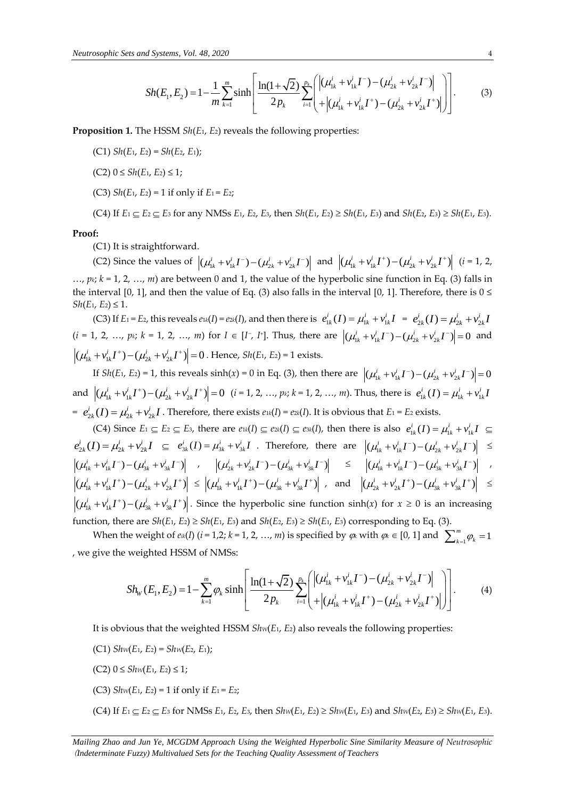d Systems, Vol. 48, 2020  
\n
$$
Sh(E_1, E_2) = 1 - \frac{1}{m} \sum_{k=1}^{m} \sinh \left[ \frac{\ln(1 + \sqrt{2})}{2p_k} \sum_{i=1}^{p_k} \left( \left| (\mu_{1k}^i + v_{1k}^i I^-) - (\mu_{2k}^i + v_{2k}^i I^-) \right| \right) \right].
$$
\n(3)

**Proposition 1.** The HSSM *Sh*(*E*1, *E*2) reveals the following properties:

(C1) *Sh*(*E*1, *E*2) = *Sh*(*E*2, *E*1);

(C2) 0 ≤ *Sh*(*E*1, *E*2) ≤ 1;

(C3) *Sh*(*E*1, *E*2) = 1 if only if *E*1 = *E*2;

(C4) If  $E_1 \subseteq E_2 \subseteq E_3$  for any NMSs  $E_1$ ,  $E_2$ ,  $E_3$ , then  $Sh(E_1, E_2) \ge Sh(E_1, E_3)$  and  $Sh(E_2, E_3) \ge Sh(E_1, E_3)$ .

#### **Proof:**

(C1) It is straightforward.

(C2) Since the values of  $|(\mu_{1k}^i + v_{1k}^i I^-) - (\mu_{2k}^i + v_{2k}^i I^-)|$  and  $|(\mu_{1k}^i + v_{1k}^i I^+) - (\mu_{2k}^i + v_{2k}^i I^+)|$  (*i* = 1, 2,  $..., p_k$ ;  $k = 1, 2, ..., m$ ) are between 0 and 1, the value of the hyperbolic sine function in Eq. (3) falls in the interval [0, 1], and then the value of Eq. (3) also falls in the interval [0, 1]. Therefore, there is  $0 \le$  $Sh(E_1, E_2) \leq 1$ .

(C3) If  $E_1 = E_2$ , this reveals  $e_{1k}(I) = e_{2k}(I)$ , and then there is  $e_{1k}^i(I) = \mu_{1k}^i + v_{1k}^i I = e_{2k}^i(I) = \mu_{2k}^i + v_{2k}^i I$  $(i = 1, 2, ..., p_k; k = 1, 2, ..., m)$  for  $I \in [I^-, I^+]$ . Thus, there are  $|(\mu_{1k}^i + v_{1k}^i I^+) - (\mu_{2k}^i + v_{2k}^i I^+) | = 0$  and  $(\mu_{1k}^i + v_{1k}^i I^+) - (\mu_{2k}^i + v_{2k}^i I^+) = 0$ . Hence, *Sh*(*E*<sub>1</sub>, *E*<sub>2</sub>) = 1 exists.

If  $Sh(E_1, E_2) = 1$ , this reveals  $sinh(x) = 0$  in Eq. (3), then there are  $|(\mu_{1k}^i + v_{1k}^i I^-) - (\mu_{2k}^i + v_{2k}^i I^-)| = 0$ and  $|(\mu_{1k}^i + v_{1k}^i I^+) - (\mu_{2k}^i + v_{2k}^i I^+) | = 0$  (*i* = 1, 2, …, *pk*; *k* = 1, 2, …, *m*). Thus, there is  $e_{1k}^i(I) = \mu_{1k}^i + v_{1k}^i I$  $e^{i}_{2k}(I) = \mu_{2k}^{i} + v_{2k}^{i}I$ . Therefore, there exists  $e^{i(k)} = e^{i(k)}I$ . It is obvious that  $E_1 = E_2$  exists.

(C4) Since  $E_1 \subseteq E_2 \subseteq E_3$ , there are  $e_{1k}(I) \subseteq e_{2k}(I) \subseteq e_{3k}(I)$ , then there is also  $e_{1k}^i(I) = \mu_{1k}^i + v_{1k}^i I \subseteq E_3$  $e_{2k}^{i}(I) = \mu_{2k}^{i} + v_{2k}^{i}I \subseteq e_{3k}^{i}(I) = \mu_{3k}^{i} + v_{3k}^{i}I$ . Therefore, there are  $|(\mu_{1k}^{i} + v_{1k}^{i}I^{-}) - (\mu_{2k}^{i} + v_{2k}^{i}I^{-})| \le$  $\left| \left( \mu_{1k}^i + v_{1k}^i I^- \right) - \left( \mu_{3k}^i + v_{3k}^i I^- \right) \right|$  ,  $\left| \left( \mu_{2k}^i + v_{2k}^i I^- \right) - \left( \mu_{3k}^i + v_{3k}^i I^- \right) \right|$   $\leq$   $\left| \left( \mu_{1k}^i + v_{1k}^i I^- \right) - \left( \mu_{3k}^i + v_{3k}^i I^- \right) \right|$  ,  $(\mu_{1k}^i + v_{1k}^i I^+) - (\mu_{2k}^i + v_{2k}^i I^+)$   $\leq |(\mu_{1k}^i + v_{1k}^i I^+) - (\mu_{3k}^i + v_{3k}^i I^+)$  and  $|(\mu_{2k}^i + v_{2k}^i I^+) - (\mu_{3k}^i + v_{3k}^i I^+)$   $\leq$  $(\mu_{1k}^i + v_{1k}^i I^+) - (\mu_{3k}^i + v_{3k}^i I^+)$ . Since the hyperbolic sine function sinh(*x*) for  $x \ge 0$  is an increasing function, there are  $Sh(E_1, E_2) \geq Sh(E_1, E_3)$  and  $Sh(E_2, E_3) \geq Sh(E_1, E_3)$  corresponding to Eq. (3).

When the weight of  $e^{i(k)}$  (*i* = 1,2; *k* = 1, 2, …, *m*) is specified by  $\varphi_k$  with  $\varphi_k \in [0, 1]$  and  $\sum_{k=1}^{m} \varphi_k = 1$  $\sum_{k=1}^m \varphi_k =$ , we give the weighted HSSM of NMSs:

The weight of 
$$
e_{ik}(I)
$$
 ( $i = 1,2; k = 1, 2, ..., m$ ) is specified by  $\varphi_k$  with  $\varphi_k \in [0, 1]$  and  $\sum_{k=1}^{m} \varphi_k = 1$   
\nweighted HSSM of NMSS:  
\n
$$
Sh_w(E_1, E_2) = 1 - \sum_{k=1}^{m} \varphi_k \sinh\left[\frac{\ln(1+\sqrt{2})}{2p_k} \sum_{i=1}^{p_k} \left( \left| (\mu_{1k}^i + v_{1k}^i I^-) - (\mu_{2k}^i + v_{2k}^i I^-) \right| \right) \right].
$$
\n(4)

It is obvious that the weighted HSSM *ShW*(*E*1, *E*2) also reveals the following properties:

- (C1) *ShW*(*E*1, *E*2) = *ShW*(*E*2, *E*1);
- (C2) 0 ≤ *ShW*(*E*1, *E*2) ≤ 1;
- (C3)  $Shw(E_1, E_2) = 1$  if only if  $E_1 = E_2$ ;
- (C4) If  $E_1 \subseteq E_2 \subseteq E_3$  for NMSs  $E_1$ ,  $E_2$ ,  $E_3$ , then  $Shw(E_1, E_2) \ge Shw(E_1, E_3)$  and  $Shw(E_2, E_3) \ge Shw(E_1, E_3)$ .

*Mailing Zhao and Jun Ye*, *MCGDM Approach Using the Weighted Hyperbolic Sine Similarity Measure of Neutrosophic*  (*Indeterminate Fuzzy) Multivalued Sets for the Teaching Quality Assessment of Teachers*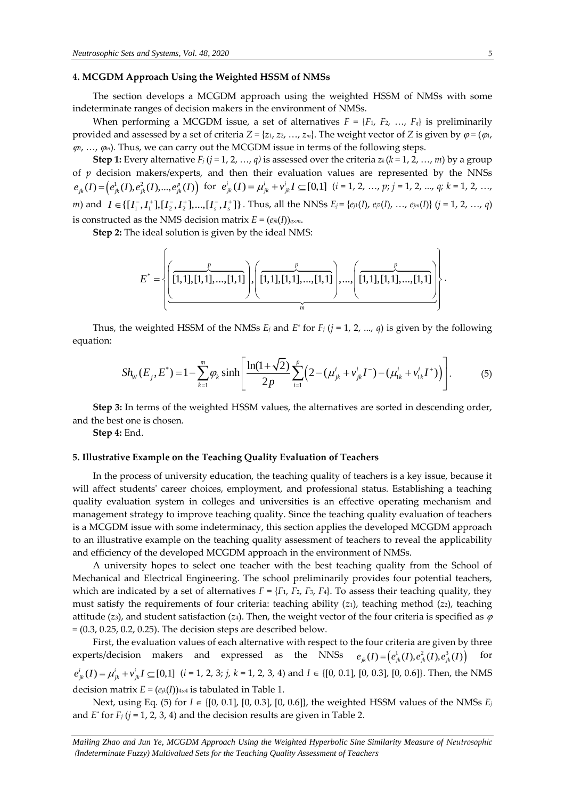# **4. MCGDM Approach Using the Weighted HSSM of NMSs**

The section develops a MCGDM approach using the weighted HSSM of NMSs with some indeterminate ranges of decision makers in the environment of NMSs.

When performing a MCGDM issue, a set of alternatives  $F = \{F_1, F_2, ..., F_q\}$  is preliminarily provided and assessed by a set of criteria  $Z = \{z_1, z_2, ..., z_m\}$ . The weight vector of *Z* is given by  $\varphi = (\varphi_1, \varphi_2, \varphi_3, \varphi_4, \varphi_5, \varphi_7, \varphi_8, \varphi_9, \varphi_1, \varphi_1, \varphi_2, \varphi_3, \varphi_7, \varphi_8, \varphi_9, \varphi_1, \varphi_1, \varphi_2, \varphi_1, \$  $\varphi_1, \ldots, \varphi_m$ ). Thus, we can carry out the MCGDM issue in terms of the following steps.

**Step 1:** Every alternative  $F_j$  ( $j = 1, 2, ..., q$ ) is assessed over the criteria  $z_k$  ( $k = 1, 2, ..., m$ ) by a group of *p* decision makers/experts, and then their evaluation values are represented by the NNSs  $e_{jk}(I) = (e_{jk}^1(I), e_{jk}^2(I),...,e_{jk}^p(I))$  for  $e_{jk}^i(I) = \mu_{jk}^i + v_{jk}^i I \subseteq [0,1]$   $(i = 1, 2, ..., p; j = 1, 2, ..., q; k = 1, 2, ...,$ m) and  $I \in \{[I_1^-, I_1^+] , [I_2^-, I_2^+] , \dots, [I_s^-, I_s^+] \}$ . Thus, all the NNSs  $E_j = \{e_j(I), e_{j2}(I), \dots, e_{jm}(I)\}$   $(j = 1, 2, \dots, q)$ is constructed as the NMS decision matrix  $E = (e_{jk}(I))_{q \times m}$ .

**Step 2:** The ideal solution is given by the ideal NMS:

s the NMS decision matrix 
$$
E = (e_{jk}(I))_{q \times m}
$$
.  
\n
$$
E^* = \left\{ \left( \frac{p}{[1,1],[1,1],...,[1,1]}, \left( \frac{p}{[1,1],[1,1],...,[1,1]} \right), \dots, \left( \frac{p}{[1,1],[1,1],...,[1,1]} \right) \right\} \right\}.
$$

equation:

Thus, the weighted HSSM of the NMSS 
$$
E_j
$$
 and  $E^*$  for  $F_j$  ( $j = 1, 2, ..., q$ ) is given by the following  
tion:  

$$
Sh_W(E_j, E^*) = 1 - \sum_{k=1}^m \varphi_k \sinh\left[\frac{\ln(1+\sqrt{2})}{2p}\sum_{i=1}^p \left(2 - (\mu_{jk}^i + v_{jk}^i I^-) - (\mu_{1k}^i + v_{1k}^i I^+)\right)\right].
$$
 (5)

**Step 3:** In terms of the weighted HSSM values, the alternatives are sorted in descending order, and the best one is chosen.

**Step 4:** End.

#### **5. Illustrative Example on the Teaching Quality Evaluation of Teachers**

In the process of university education, the teaching quality of teachers is a key issue, because it will affect students' career choices, employment, and professional status. Establishing a teaching quality evaluation system in colleges and universities is an effective operating mechanism and management strategy to improve teaching quality. Since the teaching quality evaluation of teachers is a MCGDM issue with some indeterminacy, this section applies the developed MCGDM approach to an illustrative example on the teaching quality assessment of teachers to reveal the applicability and efficiency of the developed MCGDM approach in the environment of NMSs.

A university hopes to select one teacher with the best teaching quality from the School of Mechanical and Electrical Engineering. The school preliminarily provides four potential teachers, which are indicated by a set of alternatives  $F = \{F_1, F_2, F_3, F_4\}$ . To assess their teaching quality, they must satisfy the requirements of four criteria: teaching ability (*z*1), teaching method (*z*2), teaching attitude ( $z_3$ ), and student satisfaction ( $z_4$ ). Then, the weight vector of the four criteria is specified as  $\varphi$  $=(0.3, 0.25, 0.2, 0.25)$ . The decision steps are described below.

First, the evaluation values of each alternative with respect to the four criteria are given by three experts/decision makers and expressed as the NNSs  $e_{jk}(I) = (e_{jk}^1(I), e_{jk}^2(I), e_{jk}^3(I))$ for  $e^{i}_{jk}(I) = \mu^{i}_{jk} + v^{i}_{jk}I \subseteq [0,1]$  (*i* = 1, 2, 3; *j*, *k* = 1, 2, 3, 4) and *I*  $\in$  {[0, 0.1], [0, 0.3], [0, 0.6]}. Then, the NMS decision matrix  $E = (e_{jk}(I))_{4 \times 4}$  is tabulated in Table 1.

Next, using Eq. (5) for  $I \in \{[0, 0.1], [0, 0.3], [0, 0.6]\}$ , the weighted HSSM values of the NMSs  $E_i$ and *E\** for *F<sup>j</sup>* (*j* = 1, 2, 3, 4) and the decision results are given in Table 2.

*Mailing Zhao and Jun Ye*, *MCGDM Approach Using the Weighted Hyperbolic Sine Similarity Measure of Neutrosophic*  (*Indeterminate Fuzzy) Multivalued Sets for the Teaching Quality Assessment of Teachers*

.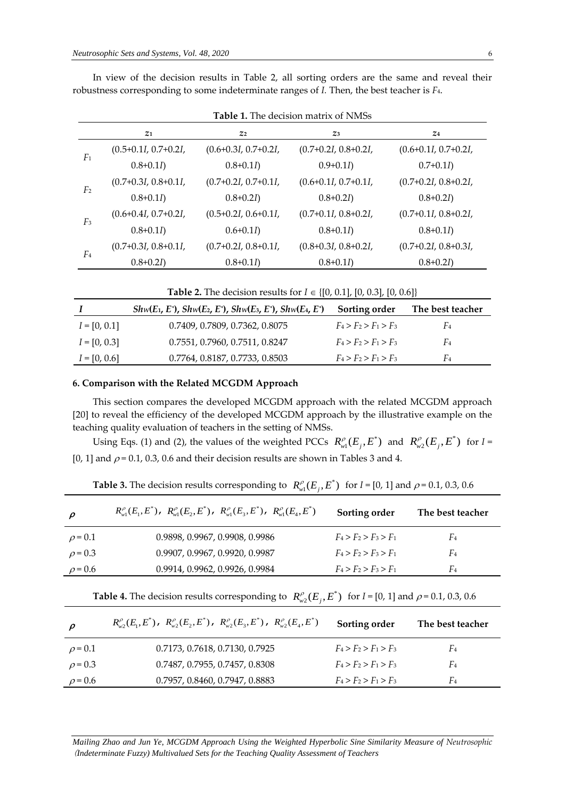| <b>Table 1.</b> The decision matrix of NMSs |                        |                        |                        |                        |  |
|---------------------------------------------|------------------------|------------------------|------------------------|------------------------|--|
|                                             | $Z_1$                  | Z <sub>2</sub>         | $Z_3$                  | Z <sub>4</sub>         |  |
| F <sub>1</sub>                              | $(0.5+0.1I, 0.7+0.2I,$ | $(0.6+0.3I, 0.7+0.2I,$ | $(0.7+0.2I, 0.8+0.2I,$ | $(0.6+0.1I, 0.7+0.2I,$ |  |
|                                             | $0.8 + 0.1I$           | $0.8 + 0.1I$           | $0.9 + 0.1I$           | $0.7 + 0.1I$           |  |
| F <sub>2</sub>                              | $(0.7+0.3I, 0.8+0.1I,$ | $(0.7+0.2I, 0.7+0.1I,$ | $(0.6+0.1I, 0.7+0.1I,$ | $(0.7+0.2I, 0.8+0.2I,$ |  |
|                                             | $0.8 + 0.1I$           | $0.8 + 0.2I$           | $0.8 + 0.2I$           | $0.8 + 0.2I$           |  |
| $F_3$                                       | $(0.6+0.4I, 0.7+0.2I,$ | $(0.5+0.2I, 0.6+0.1I,$ | $(0.7+0.1I, 0.8+0.2I,$ | $(0.7+0.1I, 0.8+0.2I,$ |  |
|                                             | $0.8 + 0.1I$           | $0.6 + 0.1I$           | $0.8 + 0.1I$           | $0.8 + 0.1I$           |  |
| F <sub>4</sub>                              | $(0.7+0.3I, 0.8+0.1I,$ | $(0.7+0.2I, 0.8+0.1I,$ | $(0.8+0.3I, 0.8+0.2I,$ | $(0.7+0.2I, 0.8+0.3I,$ |  |
|                                             | $0.8 + 0.2I$           | $0.8 + 0.1I$           | $0.8 + 0.1I$           | $0.8 + 0.2I$           |  |

In view of the decision results in Table 2, all sorting orders are the same and reveal their robustness corresponding to some indeterminate ranges of *I.* Then, the best teacher is *F*4.

**Table 2.** The decision results for  $I \in \{[0, 0.1], [0, 0.3], [0, 0.6]\}$ 

|                | $Shw(E_1, E^*)$ , $Shw(E_2, E^*)$ , $Shw(E_3, E^*)$ , $Shw(E_4, E^*)$ | Sorting order           | The best teacher |
|----------------|-----------------------------------------------------------------------|-------------------------|------------------|
| $I = [0, 0.1]$ | 0.7409, 0.7809, 0.7362, 0.8075                                        | $F_4 > F_2 > F_1 > F_3$ | F4               |
| $I = [0, 0.3]$ | 0.7551, 0.7960, 0.7511, 0.8247                                        | $F_4 > F_2 > F_1 > F_3$ | F <sub>4</sub>   |
| $I = [0, 0.6]$ | 0.7764, 0.8187, 0.7733, 0.8503                                        | $F_4 > F_2 > F_1 > F_3$ | F4               |
|                |                                                                       |                         |                  |

### **6. Comparison with the Related MCGDM Approach**

This section compares the developed MCGDM approach with the related MCGDM approach [20] to reveal the efficiency of the developed MCGDM approach by the illustrative example on the teaching quality evaluation of teachers in the setting of NMSs.

Using Eqs. (1) and (2), the values of the weighted PCCs  $R_{w1}^{\rho}(E_j, E^*)$  and  $R_{w2}^{\rho}(E_j, E^*)$  $R_{w2}^{\rho}(E_j, E^*)$  for  $I =$ [0, 1] and  $\rho$  = 0.1, 0.3, 0.6 and their decision results are shown in Tables 3 and 4.

| $\rho$       | $R_{\omega 1}^{\rho}(E_1,E^*)$ , $R_{\omega 1}^{\rho}(E_2,E^*)$ , $R_{\omega 1}^{\rho}(E_3,E^*)$ , $R_{\omega 1}^{\rho}(E_4,E^*)$ | Sorting order           | The best teacher |
|--------------|-----------------------------------------------------------------------------------------------------------------------------------|-------------------------|------------------|
| $\rho = 0.1$ | 0.9898, 0.9967, 0.9908, 0.9986                                                                                                    | $F_4 > F_2 > F_3 > F_1$ | F <sub>4</sub>   |
| $\rho = 0.3$ | 0.9907, 0.9967, 0.9920, 0.9987                                                                                                    | $F_4 > F_2 > F_3 > F_1$ | F <sub>4</sub>   |
| $\rho = 0.6$ | 0.9914, 0.9962, 0.9926, 0.9984                                                                                                    | $F_4 > F_2 > F_3 > F_1$ | F <sub>4</sub>   |

**Table 3.** The decision results corresponding to  $R_{wl}^{\rho}(E_j, E^*)$  for *I* = [0, 1] and  $\rho$  = 0.1, 0.3, 0.6

**Table 4.** The decision results corresponding to  $R_{w2}^{\rho}(E_j, E^*)$  for *I* = [0, 1] and  $\rho$  = 0.1, 0.3, 0.6

| $\rho$       | $R^{\rho}_{\omega}(E_1,E^*)$ , $R^{\rho}_{\omega}(E_2,E^*)$ , $R^{\rho}_{\omega}(E_3,E^*)$ , $R^{\rho}_{\omega}(E_4,E^*)$ | Sorting order           | The best teacher |
|--------------|---------------------------------------------------------------------------------------------------------------------------|-------------------------|------------------|
| $\rho = 0.1$ | 0.7173, 0.7618, 0.7130, 0.7925                                                                                            | $F_4 > F_2 > F_1 > F_3$ | F <sub>4</sub>   |
| $\rho = 0.3$ | 0.7487, 0.7955, 0.7457, 0.8308                                                                                            | $F_4 > F_2 > F_1 > F_3$ | $F_4$            |
| $\rho = 0.6$ | 0.7957, 0.8460, 0.7947, 0.8883                                                                                            | $F_4 > F_2 > F_1 > F_3$ | F <sub>4</sub>   |

*Mailing Zhao and Jun Ye*, *MCGDM Approach Using the Weighted Hyperbolic Sine Similarity Measure of Neutrosophic*  (*Indeterminate Fuzzy) Multivalued Sets for the Teaching Quality Assessment of Teachers*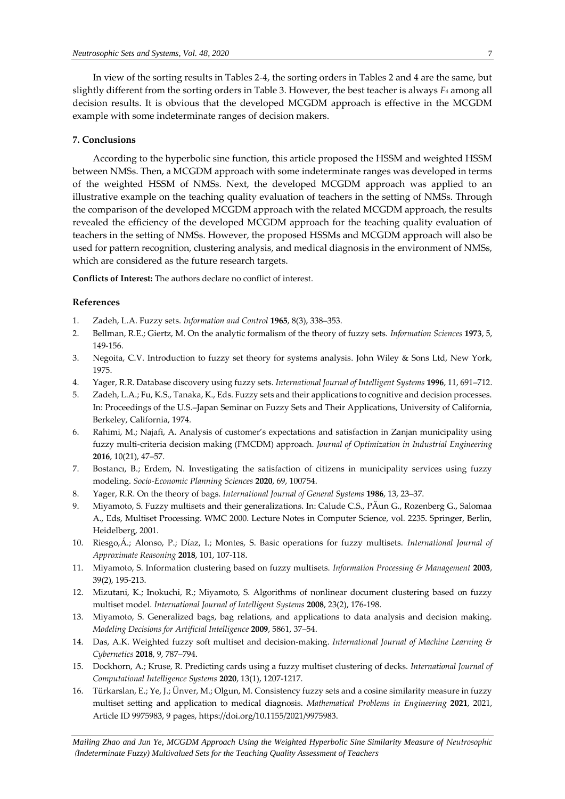In view of the sorting results in Tables 2-4, the sorting orders in Tables 2 and 4 are the same, but slightly different from the sorting orders in Table 3. However, the best teacher is always *F*<sup>4</sup> among all decision results. It is obvious that the developed MCGDM approach is effective in the MCGDM example with some indeterminate ranges of decision makers.

# **7. Conclusions**

According to the hyperbolic sine function, this article proposed the HSSM and weighted HSSM between NMSs. Then, a MCGDM approach with some indeterminate ranges was developed in terms of the weighted HSSM of NMSs. Next, the developed MCGDM approach was applied to an illustrative example on the teaching quality evaluation of teachers in the setting of NMSs. Through the comparison of the developed MCGDM approach with the related MCGDM approach, the results revealed the efficiency of the developed MCGDM approach for the teaching quality evaluation of teachers in the setting of NMSs. However, the proposed HSSMs and MCGDM approach will also be used for pattern recognition, clustering analysis, and medical diagnosis in the environment of NMSs, which are considered as the future research targets.

**Conflicts of Interest:** The authors declare no conflict of interest.

#### **References**

- 1. Zadeh, L.A. Fuzzy sets. *Information and Control* **1965**, 8(3), 338–353.
- 2. Bellman, R.E.; Giertz, M. On the analytic formalism of the theory of fuzzy sets. *Information Sciences* **1973**, 5, 149-156.
- 3. Negoita, C.V. Introduction to fuzzy set theory for systems analysis. John Wiley & Sons Ltd, New York, 1975.
- 4. Yager, R.R. Database discovery using fuzzy sets. *International Journal of Intelligent Systems* **1996**, 11, 691–712.
- 5. Zadeh, L.A.; Fu, K.S., Tanaka, K., Eds. Fuzzy sets and their applications to cognitive and decision processes. In: Proceedings of the U.S.–Japan Seminar on Fuzzy Sets and Their Applications, University of California, Berkeley, California, 1974.
- 6. Rahimi, M.; Najafi, A. Analysis of customer's expectations and satisfaction in Zanjan municipality using fuzzy multi-criteria decision making (FMCDM) approach. *Journal of Optimization in Industrial Engineering* **2016**, 10(21), 47–57.
- 7. Bostancı, B.; Erdem, N. Investigating the satisfaction of citizens in municipality services using fuzzy modeling. *Socio-Economic Planning Sciences* **2020**, 69, 100754.
- 8. Yager, R.R. On the theory of bags. *International Journal of General Systems* **1986**, 13, 23–37.
- 9. Miyamoto, S. Fuzzy multisets and their generalizations. In: Calude C.S., PĂun G., Rozenberg G., Salomaa A., Eds, Multiset Processing. WMC 2000. Lecture Notes in Computer Science, vol. 2235. Springer, Berlin, Heidelberg, 2001.
- 10. Riesgo,Á.; Alonso, P.; Díaz, I.; Montes, S. Basic operations for fuzzy multisets. *International Journal of Approximate Reasoning* **2018**, 101, 107-118.
- 11. Miyamoto, S. Information clustering based on fuzzy multisets. *Information Processing & Management* **2003**, 39(2), 195-213.
- 12. Mizutani, K.; Inokuchi, R.; Miyamoto, S. Algorithms of nonlinear document clustering based on fuzzy multiset model. *International Journal of Intelligent Systems* **2008**, 23(2), 176-198.
- 13. Miyamoto, S. Generalized bags, bag relations, and applications to data analysis and decision making. *Modeling Decisions for Artificial Intelligence* **2009**, 5861, 37–54.
- 14. Das, A.K. Weighted fuzzy soft multiset and decision-making. *International Journal of Machine Learning & Cybernetics* **2018**, 9, 787–794.
- 15. Dockhorn, A.; Kruse, R. Predicting cards using a fuzzy multiset clustering of decks. *International Journal of Computational Intelligence Systems* **2020**, 13(1), 1207-1217.
- 16. Türkarslan, E.; Ye, J.; Ünver, M.; Olgun, M. Consistency fuzzy sets and a cosine similarity measure in fuzzy multiset setting and application to medical diagnosis. *Mathematical Problems in Engineering* **2021**, 2021, Article ID 9975983, 9 pages, https://doi.org/10.1155/2021/9975983.